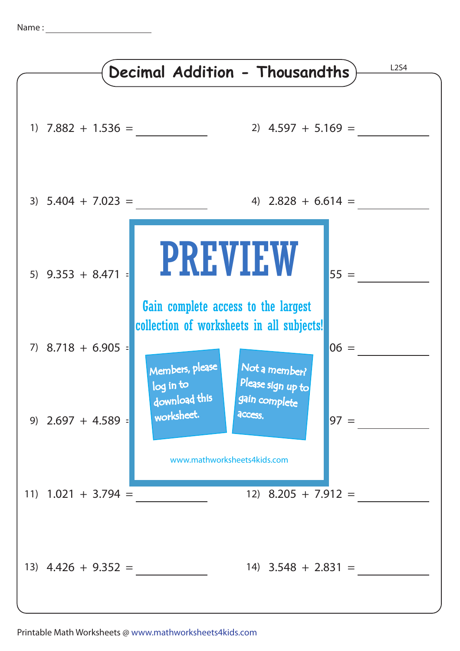